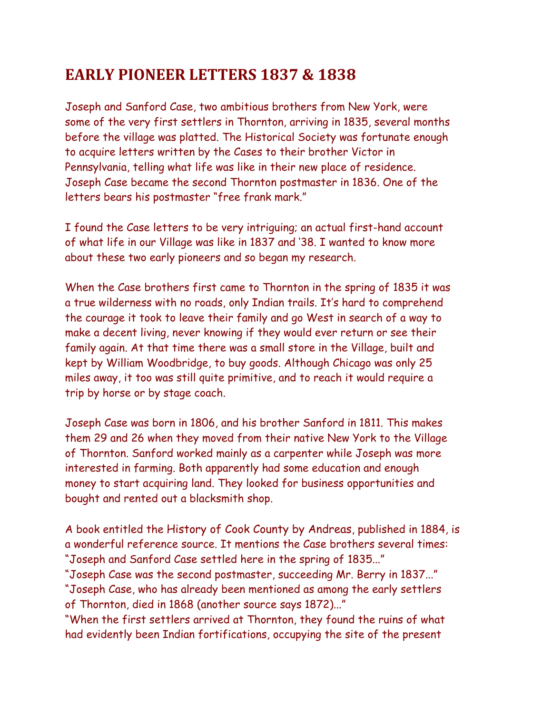## **EARLY PIONEER LETTERS 1837 & 1838**

Joseph and Sanford Case, two ambitious brothers from New York, were some of the very first settlers in Thornton, arriving in 1835, several months before the village was platted. The Historical Society was fortunate enough to acquire letters written by the Cases to their brother Victor in Pennsylvania, telling what life was like in their new place of residence. Joseph Case became the second Thornton postmaster in 1836. One of the letters bears his postmaster "free frank mark."

I found the Case letters to be very intriguing; an actual first-hand account of what life in our Village was like in 1837 and '38. I wanted to know more about these two early pioneers and so began my research.

When the Case brothers first came to Thornton in the spring of 1835 it was a true wilderness with no roads, only Indian trails. It's hard to comprehend the courage it took to leave their family and go West in search of a way to make a decent living, never knowing if they would ever return or see their family again. At that time there was a small store in the Village, built and kept by William Woodbridge, to buy goods. Although Chicago was only 25 miles away, it too was still quite primitive, and to reach it would require a trip by horse or by stage coach.

Joseph Case was born in 1806, and his brother Sanford in 1811. This makes them 29 and 26 when they moved from their native New York to the Village of Thornton. Sanford worked mainly as a carpenter while Joseph was more interested in farming. Both apparently had some education and enough money to start acquiring land. They looked for business opportunities and bought and rented out a blacksmith shop.

A book entitled the History of Cook County by Andreas, published in 1884, is a wonderful reference source. It mentions the Case brothers several times: "Joseph and Sanford Case settled here in the spring of 1835..."

"Joseph Case was the second postmaster, succeeding Mr. Berry in 1837..." "Joseph Case, who has already been mentioned as among the early settlers of Thornton, died in 1868 (another source says 1872)..."

"When the first settlers arrived at Thornton, they found the ruins of what had evidently been Indian fortifications, occupying the site of the present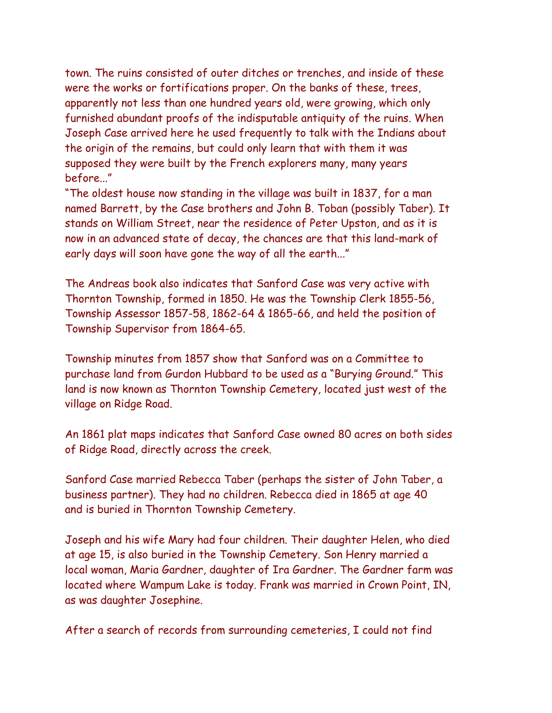town. The ruins consisted of outer ditches or trenches, and inside of these were the works or fortifications proper. On the banks of these, trees, apparently not less than one hundred years old, were growing, which only furnished abundant proofs of the indisputable antiquity of the ruins. When Joseph Case arrived here he used frequently to talk with the Indians about the origin of the remains, but could only learn that with them it was supposed they were built by the French explorers many, many years before..."

"The oldest house now standing in the village was built in 1837, for a man named Barrett, by the Case brothers and John B. Toban (possibly Taber). It stands on William Street, near the residence of Peter Upston, and as it is now in an advanced state of decay, the chances are that this land-mark of early days will soon have gone the way of all the earth..."

The Andreas book also indicates that Sanford Case was very active with Thornton Township, formed in 1850. He was the Township Clerk 1855-56, Township Assessor 1857-58, 1862-64 & 1865-66, and held the position of Township Supervisor from 1864-65.

Township minutes from 1857 show that Sanford was on a Committee to purchase land from Gurdon Hubbard to be used as a "Burying Ground." This land is now known as Thornton Township Cemetery, located just west of the village on Ridge Road.

An 1861 plat maps indicates that Sanford Case owned 80 acres on both sides of Ridge Road, directly across the creek.

Sanford Case married Rebecca Taber (perhaps the sister of John Taber, a business partner). They had no children. Rebecca died in 1865 at age 40 and is buried in Thornton Township Cemetery.

Joseph and his wife Mary had four children. Their daughter Helen, who died at age 15, is also buried in the Township Cemetery. Son Henry married a local woman, Maria Gardner, daughter of Ira Gardner. The Gardner farm was located where Wampum Lake is today. Frank was married in Crown Point, IN, as was daughter Josephine.

After a search of records from surrounding cemeteries, I could not find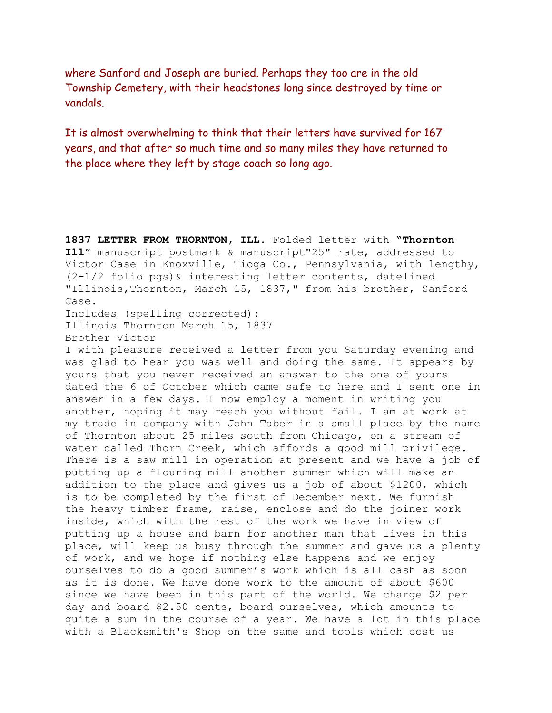where Sanford and Joseph are buried. Perhaps they too are in the old Township Cemetery, with their headstones long since destroyed by time or vandals.

It is almost overwhelming to think that their letters have survived for 167 years, and that after so much time and so many miles they have returned to the place where they left by stage coach so long ago.

**1837 LETTER FROM THORNTON, ILL.** Folded letter with **"Thornton Ill"** manuscript postmark & manuscript"25" rate, addressed to Victor Case in Knoxville, Tioga Co., Pennsylvania, with lengthy, (2-1/2 folio pgs)& interesting letter contents, datelined "Illinois,Thornton, March 15, 1837," from his brother, Sanford Case.

Includes (spelling corrected): Illinois Thornton March 15, 1837 Brother Victor

I with pleasure received a letter from you Saturday evening and was glad to hear you was well and doing the same. It appears by yours that you never received an answer to the one of yours dated the 6 of October which came safe to here and I sent one in answer in a few days. I now employ a moment in writing you another, hoping it may reach you without fail. I am at work at my trade in company with John Taber in a small place by the name of Thornton about 25 miles south from Chicago, on a stream of water called Thorn Creek, which affords a good mill privilege. There is a saw mill in operation at present and we have a job of putting up a flouring mill another summer which will make an addition to the place and gives us a job of about \$1200, which is to be completed by the first of December next. We furnish the heavy timber frame, raise, enclose and do the joiner work inside, which with the rest of the work we have in view of putting up a house and barn for another man that lives in this place, will keep us busy through the summer and gave us a plenty of work, and we hope if nothing else happens and we enjoy ourselves to do a good summer's work which is all cash as soon as it is done. We have done work to the amount of about \$600 since we have been in this part of the world. We charge \$2 per day and board \$2.50 cents, board ourselves, which amounts to quite a sum in the course of a year. We have a lot in this place with a Blacksmith's Shop on the same and tools which cost us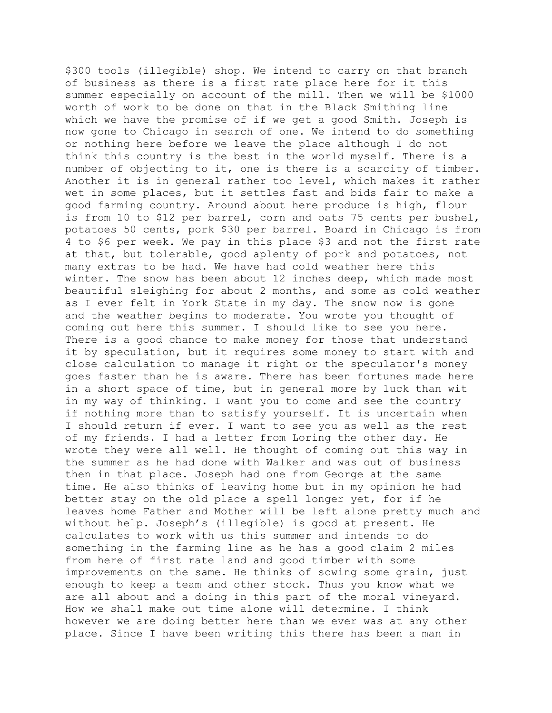\$300 tools (illegible) shop. We intend to carry on that branch of business as there is a first rate place here for it this summer especially on account of the mill. Then we will be \$1000 worth of work to be done on that in the Black Smithing line which we have the promise of if we get a good Smith. Joseph is now gone to Chicago in search of one. We intend to do something or nothing here before we leave the place although I do not think this country is the best in the world myself. There is a number of objecting to it, one is there is a scarcity of timber. Another it is in general rather too level, which makes it rather wet in some places, but it settles fast and bids fair to make a good farming country. Around about here produce is high, flour is from 10 to \$12 per barrel, corn and oats 75 cents per bushel, potatoes 50 cents, pork \$30 per barrel. Board in Chicago is from 4 to \$6 per week. We pay in this place \$3 and not the first rate at that, but tolerable, good aplenty of pork and potatoes, not many extras to be had. We have had cold weather here this winter. The snow has been about 12 inches deep, which made most beautiful sleighing for about 2 months, and some as cold weather as I ever felt in York State in my day. The snow now is gone and the weather begins to moderate. You wrote you thought of coming out here this summer. I should like to see you here. There is a good chance to make money for those that understand it by speculation, but it requires some money to start with and close calculation to manage it right or the speculator's money goes faster than he is aware. There has been fortunes made here in a short space of time, but in general more by luck than wit in my way of thinking. I want you to come and see the country if nothing more than to satisfy yourself. It is uncertain when I should return if ever. I want to see you as well as the rest of my friends. I had a letter from Loring the other day. He wrote they were all well. He thought of coming out this way in the summer as he had done with Walker and was out of business then in that place. Joseph had one from George at the same time. He also thinks of leaving home but in my opinion he had better stay on the old place a spell longer yet, for if he leaves home Father and Mother will be left alone pretty much and without help. Joseph's (illegible) is good at present. He calculates to work with us this summer and intends to do something in the farming line as he has a good claim 2 miles from here of first rate land and good timber with some improvements on the same. He thinks of sowing some grain, just enough to keep a team and other stock. Thus you know what we are all about and a doing in this part of the moral vineyard. How we shall make out time alone will determine. I think however we are doing better here than we ever was at any other place. Since I have been writing this there has been a man in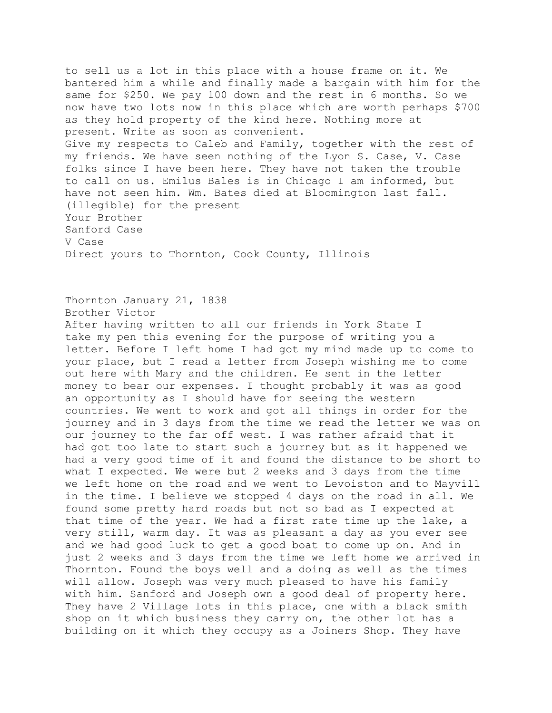to sell us a lot in this place with a house frame on it. We bantered him a while and finally made a bargain with him for the same for \$250. We pay 100 down and the rest in 6 months. So we now have two lots now in this place which are worth perhaps \$700 as they hold property of the kind here. Nothing more at present. Write as soon as convenient. Give my respects to Caleb and Family, together with the rest of my friends. We have seen nothing of the Lyon S. Case, V. Case folks since I have been here. They have not taken the trouble to call on us. Emilus Bales is in Chicago I am informed, but have not seen him. Wm. Bates died at Bloomington last fall. (illegible) for the present Your Brother Sanford Case V Case Direct yours to Thornton, Cook County, Illinois

Thornton January 21, 1838 Brother Victor After having written to all our friends in York State I take my pen this evening for the purpose of writing you a letter. Before I left home I had got my mind made up to come to your place, but I read a letter from Joseph wishing me to come out here with Mary and the children. He sent in the letter money to bear our expenses. I thought probably it was as good an opportunity as I should have for seeing the western countries. We went to work and got all things in order for the journey and in 3 days from the time we read the letter we was on our journey to the far off west. I was rather afraid that it had got too late to start such a journey but as it happened we had a very good time of it and found the distance to be short to what I expected. We were but 2 weeks and 3 days from the time we left home on the road and we went to Levoiston and to Mayvill in the time. I believe we stopped 4 days on the road in all. We found some pretty hard roads but not so bad as I expected at that time of the year. We had a first rate time up the lake, a very still, warm day. It was as pleasant a day as you ever see and we had good luck to get a good boat to come up on. And in just 2 weeks and 3 days from the time we left home we arrived in Thornton. Found the boys well and a doing as well as the times will allow. Joseph was very much pleased to have his family with him. Sanford and Joseph own a good deal of property here. They have 2 Village lots in this place, one with a black smith shop on it which business they carry on, the other lot has a building on it which they occupy as a Joiners Shop. They have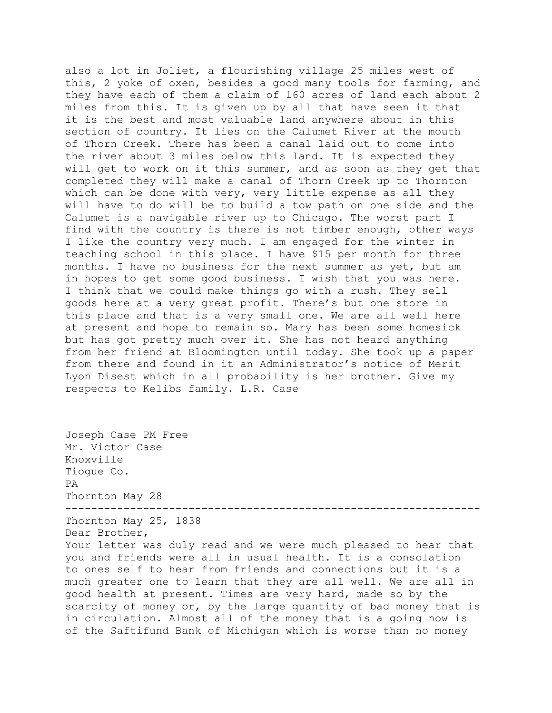also a lot in Joliet, a flourishing village 25 miles west of this, 2 yoke of oxen, besides a good many tools for farming, and they have each of them a claim of 160 acres of land each about 2 miles from this. It is given up by all that have seen it that it is the best and most valuable land anywhere about in this section of country. It lies on the Calumet River at the mouth of Thorn Creek. There has been a canal laid out to come into the river about 3 miles below this land. It is expected they will get to work on it this summer, and as soon as they get that completed they will make a canal of Thorn Creek up to Thornton which can be done with very, very little expense as all they will have to do will be to build a tow path on one side and the Calumet is a navigable river up to Chicago. The worst part I find with the country is there is not timber enough, other ways I like the country very much. I am engaged for the winter in teaching school in this place. I have \$15 per month for three months. I have no business for the next summer as yet, but am in hopes to get some good business. I wish that you was here. I think that we could make things go with a rush. They sell goods here at a very great profit. There's but one store in this place and that is a very small one. We are all well here at present and hope to remain so. Mary has been some homesick but has got pretty much over it. She has not heard anything from her friend at Bloomington until today. She took up a paper from there and found in it an Administrator's notice of Merit Lyon Disest which in all probability is her brother. Give my respects to Kelibs family. L.R. Case

Joseph Case PM Free Mr. Victor Case Knoxville Tiogue Co. PA Thornton May 28 ---------------------------------------------------------------- Thornton May 25, 1838 Dear Brother, Your letter was duly read and we were much pleased to hear that you and friends were all in usual health. It is a consolation to ones self to hear from friends and connections but it is a much greater one to learn that they are all well. We are all in good health at present. Times are very hard, made so by the scarcity of money or, by the large quantity of bad money that is in circulation. Almost all of the money that is a going now is of the Saftifund Bank of Michigan which is worse than no money